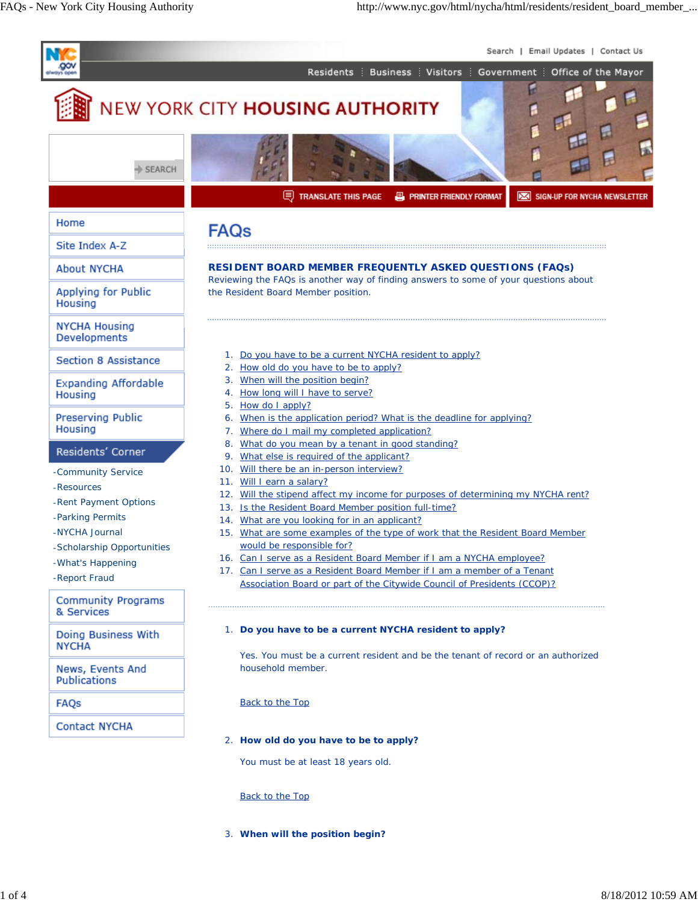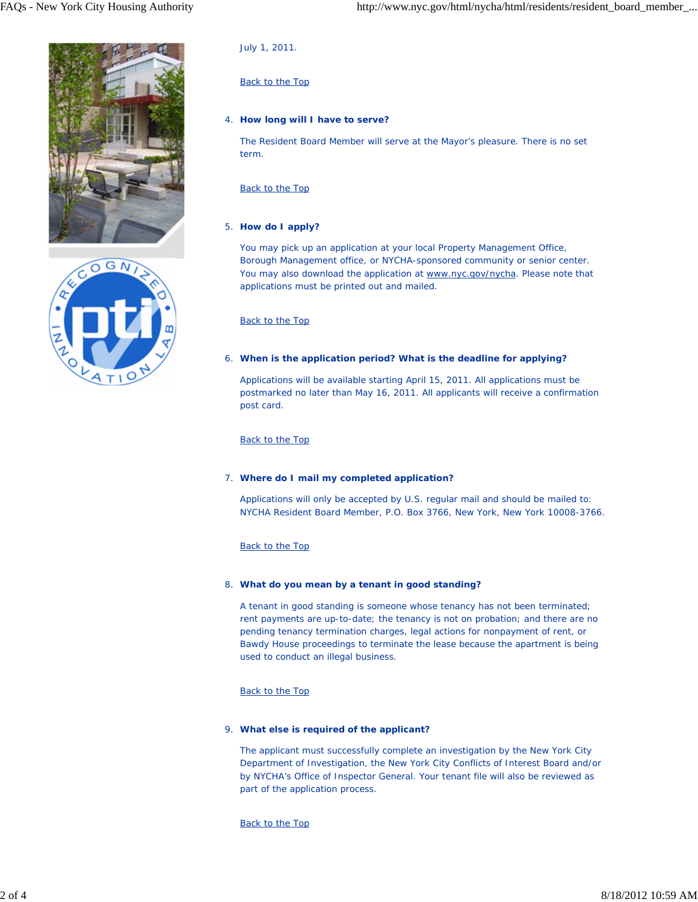



July 1, 2011.

# Back to the Top

# **How long will I have to serve?** 4.

The Resident Board Member will serve at the Mayor's pleasure. There is no set term.

# Back to the Top

# 5. **How do I apply?**

You may pick up an application at your local Property Management Office, Borough Management office, or NYCHA-sponsored community or senior center. You may also download the application at www.nyc.gov/nycha. Please note that applications must be printed out and mailed.

## Back to the Top

## **When is the application period? What is the deadline for applying?** 6.

Applications will be available starting April 15, 2011. All applications must be postmarked no later than May 16, 2011. All applicants will receive a confirmation post card.

## Back to the Top

# **Where do I mail my completed application?** 7.

Applications will only be accepted by U.S. regular mail and should be mailed to: NYCHA Resident Board Member, P.O. Box 3766, New York, New York 10008-3766.

# Back to the Top

### **What do you mean by a tenant in good standing?** 8.

A tenant in good standing is someone whose tenancy has not been terminated; rent payments are up-to-date; the tenancy is not on probation; and there are no pending tenancy termination charges, legal actions for nonpayment of rent, or Bawdy House proceedings to terminate the lease because the apartment is being used to conduct an illegal business.

# Back to the Top

### **What else is required of the applicant?** 9.

The applicant must successfully complete an investigation by the New York City Department of Investigation, the New York City Conflicts of Interest Board and/or by NYCHA's Office of Inspector General. Your tenant file will also be reviewed as part of the application process.

Back to the Top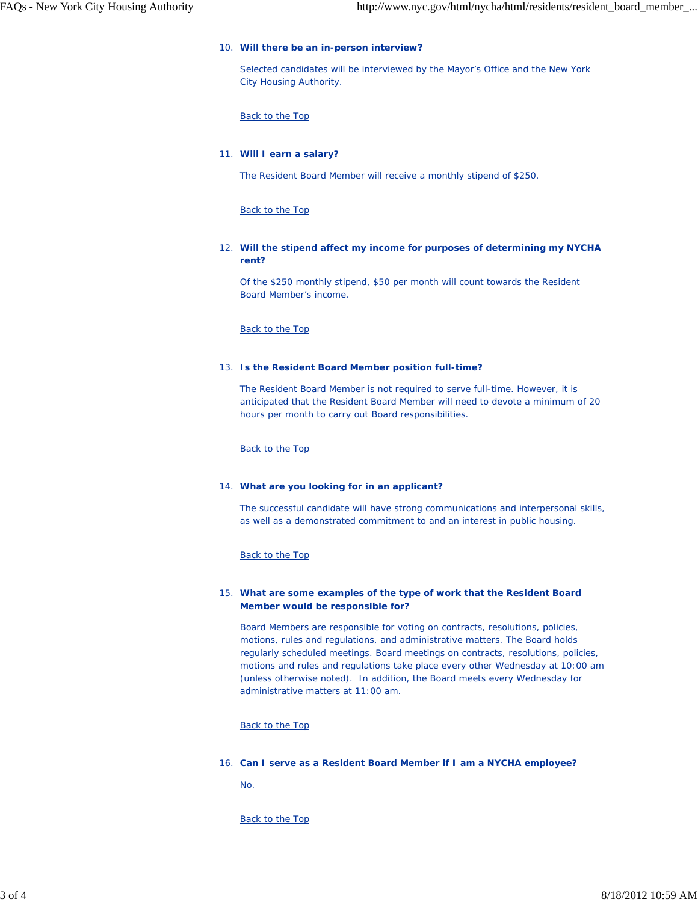### **Will there be an in-person interview?** 10.

Selected candidates will be interviewed by the Mayor's Office and the New York City Housing Authority.

Back to the Top

### **Will I earn a salary?** 11.

The Resident Board Member will receive a monthly stipend of \$250.

Back to the Top

## **Will the stipend affect my income for purposes of determining my NYCHA** 12. **rent?**

Of the \$250 monthly stipend, \$50 per month will count towards the Resident Board Member's income.

Back to the Top

### **Is the Resident Board Member position full-time?** 13.

The Resident Board Member is not required to serve full-time. However, it is anticipated that the Resident Board Member will need to devote a minimum of 20 hours per month to carry out Board responsibilities.

Back to the Top

#### **What are you looking for in an applicant?** 14.

The successful candidate will have strong communications and interpersonal skills, as well as a demonstrated commitment to and an interest in public housing.

### Back to the Top

## **What are some examples of the type of work that the Resident Board** 15. **Member would be responsible for?**

Board Members are responsible for voting on contracts, resolutions, policies, motions, rules and regulations, and administrative matters. The Board holds regularly scheduled meetings. Board meetings on contracts, resolutions, policies, motions and rules and regulations take place every other Wednesday at 10:00 am (unless otherwise noted). In addition, the Board meets every Wednesday for administrative matters at 11:00 am.

Back to the Top

#### **Can I serve as a Resident Board Member if I am a NYCHA employee?** 16.

No.

Back to the Top